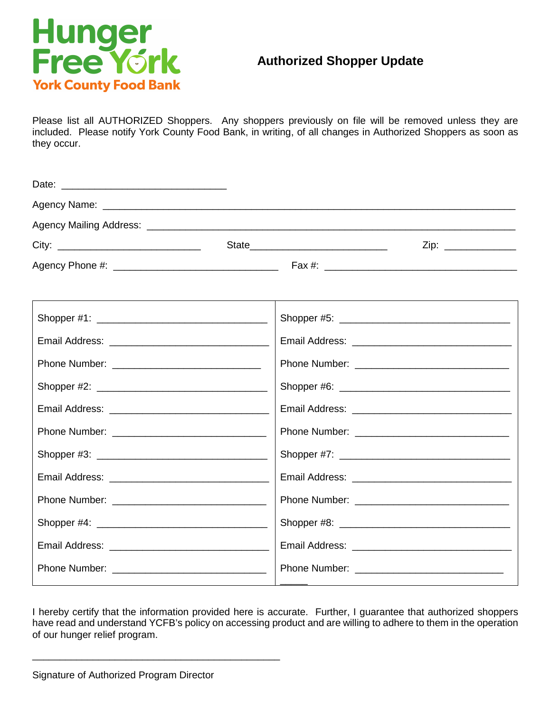

## **Authorized Shopper Update**

Please list all AUTHORIZED Shoppers. Any shoppers previously on file will be removed unless they are included. Please notify York County Food Bank, in writing, of all changes in Authorized Shoppers as soon as they occur.

|  | Zip: _______________ |
|--|----------------------|
|  |                      |
|  |                      |
|  |                      |
|  |                      |
|  |                      |
|  |                      |
|  |                      |
|  |                      |
|  |                      |
|  |                      |
|  |                      |
|  |                      |
|  |                      |
|  |                      |

I hereby certify that the information provided here is accurate. Further, I guarantee that authorized shoppers have read and understand YCFB's policy on accessing product and are willing to adhere to them in the operation of our hunger relief program.

\_\_\_\_\_\_\_\_\_\_\_\_\_\_\_\_\_\_\_\_\_\_\_\_\_\_\_\_\_\_\_\_\_\_\_\_\_\_\_\_\_\_\_\_\_